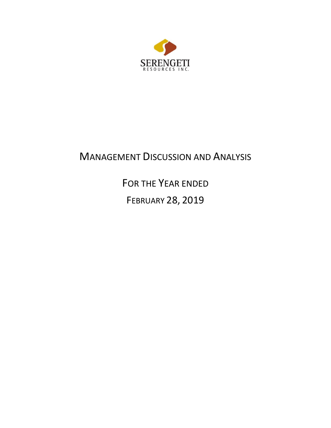

# MANAGEMENT DISCUSSION AND ANALYSIS

FOR THE YEAR ENDED

FEBRUARY 28, 2019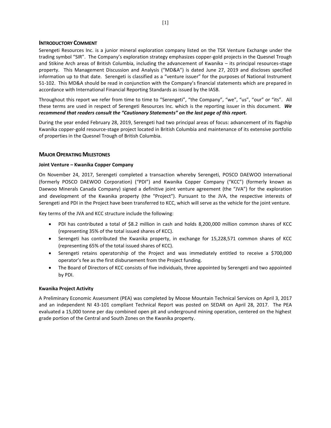# **INTRODUCTORY COMMENT**

Serengeti Resources Inc. is a junior mineral exploration company listed on the TSX Venture Exchange under the trading symbol "SIR". The Company's exploration strategy emphasizes copper-gold projects in the Quesnel Trough and Stikine Arch areas of British Columbia, including the advancement of Kwanika – its principal resources-stage property. This Management Discussion and Analysis ("MD&A") is dated June 27, 2019 and discloses specified information up to that date. Serengeti is classified as a "venture issuer" for the purposes of National Instrument 51-102. This MD&A should be read in conjunction with the Company's financial statements which are prepared in accordance with International Financial Reporting Standards as issued by the IASB.

Throughout this report we refer from time to time to "Serengeti", "the Company", "we", "us", "our" or "its". All these terms are used in respect of Serengeti Resources Inc. which is the reporting issuer in this document. *We recommend that readers consult the "Cautionary Statements" on the last page of this report.*

During the year ended February 28, 2019, Serengeti had two principal areas of focus: advancement of its flagship Kwanika copper-gold resource-stage project located in British Columbia and maintenance of its extensive portfolio of properties in the Quesnel Trough of British Columbia.

# **MAJOR OPERATING MILESTONES**

# **Joint Venture – Kwanika Copper Company**

On November 24, 2017, Serengeti completed a transaction whereby Serengeti, POSCO DAEWOO International (formerly POSCO DAEWOO Corporation) ("PDI") and Kwanika Copper Company ("KCC") (formerly known as Daewoo Minerals Canada Company) signed a definitive joint venture agreement (the "JVA") for the exploration and development of the Kwanika property (the "Project"). Pursuant to the JVA, the respective interests of Serengeti and PDI in the Project have been transferred to KCC, which will serve as the vehicle for the joint venture.

Key terms of the JVA and KCC structure include the following:

- PDI has contributed a total of \$8.2 million in cash and holds 8,200,000 million common shares of KCC (representing 35% of the total issued shares of KCC).
- Serengeti has contributed the Kwanika property, in exchange for 15,228,571 common shares of KCC (representing 65% of the total issued shares of KCC).
- Serengeti retains operatorship of the Project and was immediately entitled to receive a \$700,000 operator's fee as the first disbursement from the Project funding.
- The Board of Directors of KCC consists of five individuals, three appointed by Serengeti and two appointed by PDI.

# **Kwanika Project Activity**

A Preliminary Economic Assessment (PEA) was completed by Moose Mountain Technical Services on April 3, 2017 and an independent NI 43-101 compliant Technical Report was posted on SEDAR on April 28, 2017. The PEA evaluated a 15,000 tonne per day combined open pit and underground mining operation, centered on the highest grade portion of the Central and South Zones on the Kwanika property.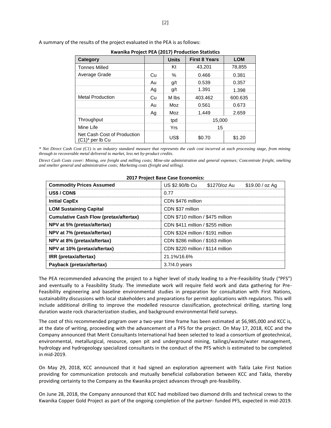| <b>RWAILING Project PEA (2017) Production Statistics</b> |    |              |                      |            |  |  |
|----------------------------------------------------------|----|--------------|----------------------|------------|--|--|
| Category                                                 |    | <b>Units</b> | <b>First 8 Years</b> | <b>LOM</b> |  |  |
| <b>Tonnes Milled</b>                                     |    | Kt           | 43,201               | 78,855     |  |  |
| Average Grade                                            | Cu | $\%$         | 0.466                | 0.381      |  |  |
|                                                          | Au | g/t          | 0.539                | 0.357      |  |  |
|                                                          | Ag | g/t          | 1.391                | 1.398      |  |  |
| <b>Metal Production</b>                                  | Cu | M lbs        | 403.462              | 600.635    |  |  |
|                                                          | Au | Moz          | 0.561                | 0.673      |  |  |
|                                                          | Ag | Moz          | 1.449                | 2.659      |  |  |
| Throughput                                               |    | tpd          | 15,000               |            |  |  |
| Mine Life                                                |    | <b>Yrs</b>   | 15                   |            |  |  |
| Net Cash Cost of Production<br>(C1)* per lb Cu           |    | US\$         | \$0.70               | \$1.20     |  |  |

A summary of the results of the project evaluated in the PEA is as follows:

**Kwanika Project PEA (2017) Production Statistics**

*\* Net Direct Cash Cost (C1) is an industry standard measure that represents the cash cost incurred at each processing stage, from mining through to recoverable metal delivered to market, less net by-product credits.* 

*Direct Cash Costs cover: Mining, ore freight and milling costs; Mine-site administration and general expenses; Concentrate freight, smelting and smelter general and administrative costs; Marketing costs (freight and selling).*

| <b>Commodity Prices Assumed</b>               | US \$2.90/lb Cu<br>\$1270/oz Au<br>\$19.00 / oz Ag |  |  |  |  |
|-----------------------------------------------|----------------------------------------------------|--|--|--|--|
| US\$/CDN\$                                    | 0.77                                               |  |  |  |  |
| <b>Initial CapEx</b>                          | CDN \$476 million                                  |  |  |  |  |
| <b>LOM Sustaining Capital</b>                 | CDN \$37 million                                   |  |  |  |  |
| <b>Cumulative Cash Flow (pretax/aftertax)</b> | CDN \$710 million / \$475 million                  |  |  |  |  |
| NPV at 5% (pretax/aftertax)                   | CDN \$411 million / \$255 million                  |  |  |  |  |
| NPV at 7% (pretax/aftertax)                   | CDN \$324 million / \$191 million                  |  |  |  |  |
| NPV at 8% (pretax/aftertax)                   | CDN \$286 million / \$163 million                  |  |  |  |  |
| NPV at 10% (pretax/aftertax)                  | CDN \$220 million / \$114 million                  |  |  |  |  |
| IRR (pretax/aftertax)                         | 21.1%/16.6%                                        |  |  |  |  |
| Payback (pretax/aftertax)                     | $3.7/4.0$ years                                    |  |  |  |  |

# **2017 Project Base Case Economics:**

The PEA recommended advancing the project to a higher level of study leading to a Pre-Feasibility Study ("PFS") and eventually to a Feasibility Study. The immediate work will require field work and data gathering for Pre-Feasibility engineering and baseline environmental studies in preparation for consultation with First Nations, sustainability discussions with local stakeholders and preparations for permit applications with regulators. This will include additional drilling to improve the modelled resource classification, geotechnical drilling, starting long duration waste rock characterization studies, and background environmental field surveys.

The cost of this recommended program over a two-year time frame has been estimated at \$6,985,000 and KCC is, at the date of writing, proceeding with the advancement of a PFS for the project. On May 17, 2018, KCC and the Company announced that Merit Consultants International had been selected to lead a consortium of geotechnical, environmental, metallurgical, resource, open pit and underground mining, tailings/waste/water management, hydrology and hydrogeology specialized consultants in the conduct of the PFS which is estimated to be completed in mid-2019.

On May 29, 2018, KCC announced that it had signed an exploration agreement with Takla Lake First Nation providing for communication protocols and mutually beneficial collaboration between KCC and Takla, thereby providing certainty to the Company as the Kwanika project advances through pre-feasibility.

On June 28, 2018, the Company announced that KCC had mobilized two diamond drills and technical crews to the Kwanika Copper Gold Project as part of the ongoing completion of the partner- funded PFS, expected in mid-2019.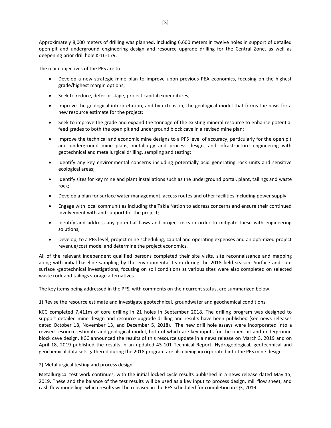Approximately 8,000 meters of drilling was planned, including 6,600 meters in twelve holes in support of detailed open-pit and underground engineering design and resource upgrade drilling for the Central Zone, as well as deepening prior drill hole K-16-179.

The main objectives of the PFS are to:

- Develop a new strategic mine plan to improve upon previous PEA economics, focusing on the highest grade/highest margin options;
- Seek to reduce, defer or stage, project capital expenditures;
- Improve the geological interpretation, and by extension, the geological model that forms the basis for a new resource estimate for the project;
- Seek to improve the grade and expand the tonnage of the existing mineral resource to enhance potential feed grades to both the open pit and underground block cave in a revised mine plan;
- Improve the technical and economic mine designs to a PFS level of accuracy, particularly for the open pit and underground mine plans, metallurgy and process design, and infrastructure engineering with geotechnical and metallurgical drilling, sampling and testing;
- Identify any key environmental concerns including potentially acid generating rock units and sensitive ecological areas;
- Identify sites for key mine and plant installations such as the underground portal, plant, tailings and waste rock;
- Develop a plan for surface water management, access routes and other facilities including power supply;
- Engage with local communities including the Takla Nation to address concerns and ensure their continued involvement with and support for the project;
- Identify and address any potential flaws and project risks in order to mitigate these with engineering solutions;
- Develop, to a PFS level, project mine scheduling, capital and operating expenses and an optimized project revenue/cost model and determine the project economics.

All of the relevant independent qualified persons completed their site visits, site reconnaissance and mapping along with initial baseline sampling by the environmental team during the 2018 field season. Surface and subsurface -geotechnical investigations, focusing on soil conditions at various sites were also completed on selected waste rock and tailings storage alternatives.

The key items being addressed in the PFS, with comments on their current status, are summarized below.

1) Revise the resource estimate and investigate geotechnical, groundwater and geochemical conditions.

KCC completed 7,411m of core drilling in 21 holes in September 2018. The drilling program was designed to support detailed mine design and resource upgrade drilling and results have been published (see news releases dated October 18, November 13, and December 5, 2018). The new drill hole assays were incorporated into a revised resource estimate and geological model, both of which are key inputs for the open pit and underground block cave design. KCC announced the results of this resource update in a news release on March 3, 2019 and on April 18, 2019 published the results in an updated 43-101 Technical Report. Hydrogeological, geotechnical and geochemical data sets gathered during the 2018 program are also being incorporated into the PFS mine design.

2) Metallurgical testing and process design.

Metallurgical test work continues, with the initial locked cycle results published in a news release dated May 15, 2019. These and the balance of the test results will be used as a key input to process design, mill flow sheet, and cash flow modelling, which results will be released in the PFS scheduled for completion in Q3, 2019.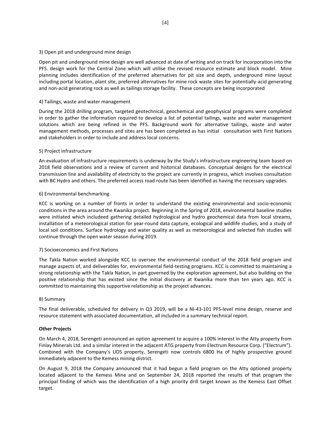# 3) Open pit and underground mine design

Open pit and underground mine design are well advanced at date of writing and on track for incorporation into the PFS. design work for the Central Zone which will utilise the revised resource estimate and block model. Mine planning includes identification of the preferred alternatives for pit size and depth, underground mine layout including portal location, plant site, preferred alternatives for mine rock waste sites for potentially-acid generating and non-acid generating rock as well as tailings storage facility. These concepts are being incorporated

# 4) Tailings, waste and water management

During the 2018 drilling program, targeted geotechnical, geochemical and geophysical programs were completed in order to gather the information required to develop a list of potential tailings, waste and water management solutions which are being refined in the PFS. Background work for alternative tailings, waste and water management methods, processes and sites are has been completed as has initial consultation with First Nations and stakeholders in order to include and address local concerns.

# 5) Project infrastructure

An evaluation of infrastructure requirements is underway by the Study's infrastructure engineering team based on 2018 field observations and a review of current and historical databases. Conceptual designs for the electrical transmission line and availability of electricity to the project are currently in progress, which involves consultation with BC Hydro and others. The preferred access road route has been identified as having the necessary upgrades.

# 6) Environmental benchmarking

KCC is working on a number of fronts in order to understand the existing environmental and socio-economic conditions in the area around the Kwanika project. Beginning in the Spring of 2018, environmental baseline studies were initiated which includeed gathering detailed hydrological and hydro geochemical data from local streams, installation of a meteorological station for year-round data capture, ecological and wildlife studies, and a study of local soil conditions. Surface hydrology and water quality as well as meteorological and selected fish studies will continue through the open water season during 2019.

# 7) Socioeconomics and First Nations

The Takla Nation worked alongside KCC to oversee the environmental conduct of the 2018 field program and manage aspects of, and deliverables for, environmental field-testing programs. KCC is committed to maintaining a strong relationship with the Takla Nation, in part governed by the exploration agreement, but also building on the positive relationship that has existed since the initial discovery at Kwanika more than ten years ago. KCC is committed to maintaining this supportive relationship as the project advances.

# 8) Summary

The final deliverable, scheduled for delivery in Q3 2019, will be a NI-43-101 PFS-level mine design, reserve and resource statement with associated documentation, all included in a summary technical report.

# **Other Projects**

On March 4, 2018, Serengeti announced an option agreement to acquire a 100% interest in the Atty property from Finlay Minerals Ltd. and a similar interest in the adjacent ATG property from Electrum Resource Corp. ("Electrum"). Combined with the Company's UDS property, Serengeti now controls 6800 Ha of highly prospective ground immediately adjacent to the Kemess mining district.

On August 9, 2018 the Company announced that it had begun a field program on the Atty optioned property located adjacent to the Kemess Mine and on September 24, 2018 reported the results of that program the principal finding of which was the identification of a high priority drill target known as the Kemess East Offset target.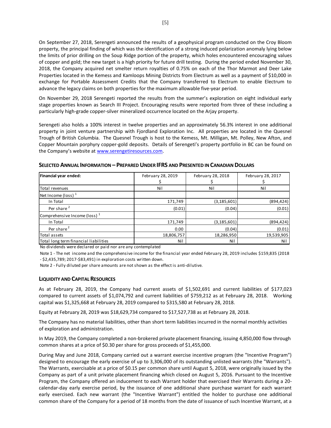On September 27, 2018, Serengeti announced the results of a geophysical program conducted on the Croy Bloom property, the principal finding of which was the identification of a strong induced polarization anomaly lying below the limits of prior drilling on the Soup Ridge portion of the property, which holes encountered encouraging values of copper and gold; the new target is a high priority for future drill testing. During the period ended November 30, 2018, the Company acquired net smelter return royalties of 0.75% on each of the Thor Marmot and Deer Lake Properties located in the Kemess and Kamloops Mining Districts from Electrum as well as a payment of \$10,000 in exchange for Portable Assessment Credits that the Company transferred to Electrum to enable Electrum to advance the legacy claims on both properties for the maximum allowable five-year period.

On November 29, 2018 Serengeti reported the results from the summer's exploration on eight individual early stage properties known as Search III Project. Encouraging results were reported from three of these including a particularly high-grade copper-silver mineralized occurrence located on the Arjay property.

Serengeti also holds a 100% interest in twelve properties and an approximately 56.3% interest in one additional property in joint venture partnership with Fjordland Exploration Inc. All properties are located in the Quesnel Trough of British Columbia. The Quesnel Trough is host to the Kemess, Mt. Milligan, Mt. Polley, New Afton, and Copper Mountain porphyry copper-gold deposits. Details of Serengeti's property portfolio in BC can be found on the Company's website at [www.serengetiresources.com.](http://www.serengetiresources.com/)

| Financial year ended:                    | February 28, 2019 | February 28, 2018 | February 28, 2017 |  |
|------------------------------------------|-------------------|-------------------|-------------------|--|
| Total revenues                           | Nil               | Nil               | Nil               |  |
| Net Income (loss) $1$                    |                   |                   |                   |  |
| In Total                                 | 171,749           | (3, 185, 601)     | (894, 424)        |  |
| Per share <sup>2</sup>                   | (0.01)            | (0.04)            | (0.01)            |  |
| Comprehensive Income (loss) <sup>1</sup> |                   |                   |                   |  |
| In Total                                 | 171,749           | (3, 185, 601)     | (894, 424)        |  |
| Per share <sup>2</sup>                   | 0.00              | (0.04)            | (0.01)            |  |
| Total assets                             | 18,806,757        | 18,286,950        | 19,539,905        |  |
| Total long term financial liabilities    | Nil               | Nil               | Nil               |  |

**SELECTED ANNUAL INFORMATION – PREPARED UNDER IFRS AND PRESENTED IN CANADIAN DOLLARS**

No dividends were declared or paid nor are any contemplated

Note 1 - The net income and the comprehensive income for the financial year ended February 28, 2019 includes \$159,835 (2018 - \$2,435,789; 2017-\$83,491) in exploration costs written down.

Note 2 - Fully diluted per share amounts are not shown as the effect is anti-dilutive.

# **LIQUIDITY AND CAPITAL RESOURCES**

As at February 28, 2019, the Company had current assets of \$1,502,691 and current liabilities of \$177,023 compared to current assets of \$1,074,792 and current liabilities of \$759,212 as at February 28, 2018. Working capital was \$1,325,668 at February 28, 2019 compared to \$315,580 at February 28, 2018.

Equity at February 28, 2019 was \$18,629,734 compared to \$17,527,738 as at February 28, 2018.

The Company has no material liabilities, other than short term liabilities incurred in the normal monthly activities of exploration and administration.

In May 2019, the Company completed a non-brokered private placement financing, issuing 4,850,000 flow through common shares at a price of \$0.30 per share for gross proceeds of \$1,455,000.

During May and June 2018, Company carried out a warrant exercise incentive program (the "Incentive Program") designed to encourage the early exercise of up to 3,306,000 of its outstanding unlisted warrants (the "Warrants"). The Warrants, exercisable at a price of \$0.15 per common share until August 5, 2018, were originally issued by the Company as part of a unit private placement financing which closed on August 5, 2016. Pursuant to the Incentive Program, the Company offered an inducement to each Warrant holder that exercised their Warrants during a 20 calendar-day early exercise period, by the issuance of one additional share purchase warrant for each warrant early exercised. Each new warrant (the "Incentive Warrant") entitled the holder to purchase one additional common share of the Company for a period of 18 months from the date of issuance of such Incentive Warrant, at a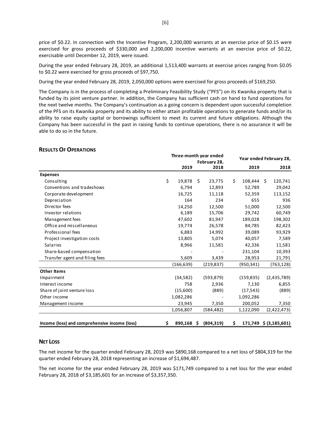price of \$0.22. In connection with the Incentive Program, 2,200,000 warrants at an exercise price of \$0.15 were exercised for gross proceeds of \$330,000 and 2,200,000 incentive warrants at an exercise price of \$0.22, exercisable until December 12, 2019, were issued.

During the year ended February 28, 2019, an additional 1,513,400 warrants at exercise prices ranging from \$0.05 to \$0.22 were exercised for gross proceeds of \$97,750.

During the year ended February 28, 2019, 2,050,000 options were exercised for gross proceeds of \$169,250.

The Company is in the process of completing a Preliminary Feasibility Study ("PFS") on its Kwanika property that is funded by its joint venture partner. In addition, the Company has sufficient cash on hand to fund operations for the next twelve months. The Company's continuation as a going concern is dependent upon successful completion of the PFS on its Kwanika property and its ability to either attain profitable operations to generate funds and/or its ability to raise equity capital or borrowings sufficient to meet its current and future obligations. Although the Company has been successful in the past in raising funds to continue operations, there is no assurance it will be able to do so in the future.

# **RESULTS OF OPERATIONS**

|                                               | Three-month year ended |    | Year ended February 28, |    |            |  |                        |
|-----------------------------------------------|------------------------|----|-------------------------|----|------------|--|------------------------|
|                                               | February 28.           |    |                         |    |            |  |                        |
|                                               | 2019                   |    | 2018                    |    | 2019       |  | 2018                   |
| <b>Expenses</b>                               |                        |    |                         |    |            |  |                        |
| Consulting                                    | \$<br>19,878           | \$ | 23,775                  | \$ | 108,444 \$ |  | 120,741                |
| Conventions and tradeshows                    | 6,794                  |    | 12,893                  |    | 52,789     |  | 29,042                 |
| Corporate development                         | 16,725                 |    | 11,118                  |    | 52,359     |  | 113,152                |
| Depreciation                                  | 164                    |    | 234                     |    | 655        |  | 936                    |
| Director fees                                 | 14,250                 |    | 12,500                  |    | 51,000     |  | 12,500                 |
| Investor relations                            | 6,189                  |    | 15,706                  |    | 29,742     |  | 60,749                 |
| Management fees                               | 47,602                 |    | 81,947                  |    | 189,028    |  | 198,302                |
| Office and miscellaneous                      | 19,774                 |    | 26,578                  |    | 84,785     |  | 82,423                 |
| Professional fees                             | 6,883                  |    | 14,992                  |    | 39,089     |  | 93,929                 |
| Project investigation costs                   | 13,805                 |    | 5,074                   |    | 40,057     |  | 7,589                  |
| Salaries                                      | 8,966                  |    | 11,581                  |    | 42,336     |  | 11,581                 |
| Share-based compensation                      |                        |    |                         |    | 231,104    |  | 10,393                 |
| Transfer agent and filing fees                | 5,609                  |    | 3,439                   |    | 28,953     |  | 21,791                 |
|                                               | (166, 639)             |    | (219,837)               |    | (950, 341) |  | (763, 128)             |
| <b>Other Items</b>                            |                        |    |                         |    |            |  |                        |
| Impairment                                    | (34, 582)              |    | (593, 879)              |    | (159, 835) |  | (2,435,789)            |
| Interest income                               | 758                    |    | 2,936                   |    | 7,130      |  | 6,855                  |
| Share of joint venture loss                   | (15,600)               |    | (889)                   |    | (17, 543)  |  | (889)                  |
| Other income                                  | 1,082,286              |    |                         |    | 1,092,286  |  |                        |
| Management income                             | 23,945                 |    | 7,350                   |    | 200,052    |  | 7,350                  |
|                                               | 1,056,807              |    | (584, 482)              |    | 1,122,090  |  | (2,422,473)            |
| Income (loss) and comprehensive income (loss) | \$<br>$890,168$ \$     |    | (804, 319)              | \$ |            |  | 171,749 \$ (3,185,601) |

# **NET LOSS**

The net income for the quarter ended February 28, 2019 was \$890,168 compared to a net loss of \$804,319 for the quarter ended February 28, 2018 representing an increase of \$1,694,487.

The net income for the year ended February 28, 2019 was \$171,749 compared to a net loss for the year ended February 28, 2018 of \$3,185,601 for an increase of \$3,357,350.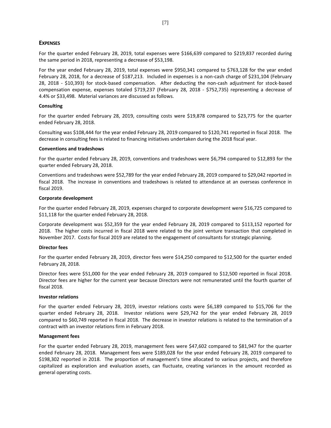# **EXPENSES**

For the quarter ended February 28, 2019, total expenses were \$166,639 compared to \$219,837 recorded during the same period in 2018, representing a decrease of \$53,198.

For the year ended February 28, 2019, total expenses were \$950,341 compared to \$763,128 for the year ended February 28, 2018, for a decrease of \$187,213. Included in expenses is a non-cash charge of \$231,104 (February 28, 2018 - \$10,393) for stock-based compensation. After deducting the non-cash adjustment for stock-based compensation expense, expenses totaled \$719,237 (February 28, 2018 - \$752,735) representing a decrease of 4.4% or \$33,498. Material variances are discussed as follows.

# **Consulting**

For the quarter ended February 28, 2019, consulting costs were \$19,878 compared to \$23,775 for the quarter ended February 28, 2018.

Consulting was \$108,444 for the year ended February 28, 2019 compared to \$120,741 reported in fiscal 2018. The decrease in consulting fees is related to financing initiatives undertaken during the 2018 fiscal year.

#### **Conventions and tradeshows**

For the quarter ended February 28, 2019, conventions and tradeshows were \$6,794 compared to \$12,893 for the quarter ended February 28, 2018.

Conventions and tradeshows were \$52,789 for the year ended February 28, 2019 compared to \$29,042 reported in fiscal 2018. The increase in conventions and tradeshows is related to attendance at an overseas conference in fiscal 2019.

#### **Corporate development**

For the quarter ended February 28, 2019, expenses charged to corporate development were \$16,725 compared to \$11,118 for the quarter ended February 28, 2018.

Corporate development was \$52,359 for the year ended February 28, 2019 compared to \$113,152 reported for 2018. The higher costs incurred in fiscal 2018 were related to the joint venture transaction that completed in November 2017. Costs for fiscal 2019 are related to the engagement of consultants for strategic planning.

#### **Director fees**

For the quarter ended February 28, 2019, director fees were \$14,250 compared to \$12,500 for the quarter ended February 28, 2018.

Director fees were \$51,000 for the year ended February 28, 2019 compared to \$12,500 reported in fiscal 2018. Director fees are higher for the current year because Directors were not remunerated until the fourth quarter of fiscal 2018.

#### **Investor relations**

For the quarter ended February 28, 2019, investor relations costs were \$6,189 compared to \$15,706 for the quarter ended February 28, 2018. Investor relations were \$29,742 for the year ended February 28, 2019 compared to \$60,749 reported in fiscal 2018. The decrease in investor relations is related to the termination of a contract with an investor relations firm in February 2018.

# **Management fees**

For the quarter ended February 28, 2019, management fees were \$47,602 compared to \$81,947 for the quarter ended February 28, 2018. Management fees were \$189,028 for the year ended February 28, 2019 compared to \$198,302 reported in 2018. The proportion of management's time allocated to various projects, and therefore capitalized as exploration and evaluation assets, can fluctuate, creating variances in the amount recorded as general operating costs.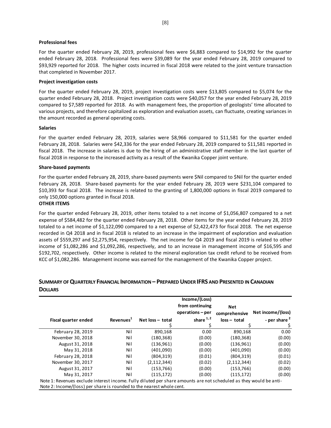#### **Professional fees**

For the quarter ended February 28, 2019, professional fees were \$6,883 compared to \$14,992 for the quarter ended February 28, 2018. Professional fees were \$39,089 for the year ended February 28, 2019 compared to \$93,929 reported for 2018. The higher costs incurred in fiscal 2018 were related to the joint venture transaction that completed in November 2017.

## **Project investigation costs**

For the quarter ended February 28, 2019, project investigation costs were \$13,805 compared to \$5,074 for the quarter ended February 28, 2018. Project investigation costs were \$40,057 for the year ended February 28, 2019 compared to \$7,589 reported for 2018. As with management fees, the proportion of geologists' time allocated to various projects, and therefore capitalized as exploration and evaluation assets, can fluctuate, creating variances in the amount recorded as general operating costs.

#### **Salaries**

For the quarter ended February 28, 2019, salaries were \$8,966 compared to \$11,581 for the quarter ended February 28, 2018. Salaries were \$42,336 for the year ended February 28, 2019 compared to \$11,581 reported in fiscal 2018. The increase in salaries is due to the hiring of an administrative staff member in the last quarter of fiscal 2018 in response to the increased activity as a result of the Kwanika Copper joint venture.

#### **Share-based payments**

For the quarter ended February 28, 2019, share-based payments were \$Nil compared to \$Nil for the quarter ended February 28, 2018. Share-based payments for the year ended February 28, 2019 were \$231,104 compared to \$10,393 for fiscal 2018. The increase is related to the granting of 1,800,000 options in fiscal 2019 compared to only 150,000 options granted in fiscal 2018.

# **OTHER ITEMS**

For the quarter ended February 28, 2019, other items totaled to a net income of \$1,056,807 compared to a net expense of \$584,482 for the quarter ended February 28, 2018. Other items for the year ended February 28, 2019 totaled to a net income of \$1,122,090 compared to a net expense of \$2,422,473 for fiscal 2018. The net expense recorded in Q4 2018 and in fiscal 2018 is related to an increase in the impairment of exploration and evaluation assets of \$559,297 and \$2,275,954, respectively. The net income for Q4 2019 and fiscal 2019 is related to other income of \$1,082,286 and \$1,092,286, respectively, and to an increase in management income of \$16,595 and \$192,702, respectively. Other income is related to the mineral exploration tax credit refund to be received from KCC of \$1,082,286. Management income was earned for the management of the Kwanika Copper project.

# **SUMMARY OF QUARTERLY FINANCIAL INFORMATION – PREPARED UNDER IFRS AND PRESENTED IN CANADIAN DOLLARS**

|                                                                                                                    |                       |                  | Income/(Loss)<br>from continuing | Net            |                          |
|--------------------------------------------------------------------------------------------------------------------|-----------------------|------------------|----------------------------------|----------------|--------------------------|
|                                                                                                                    |                       |                  | operations - per                 | comprehensive  | Net income/(loss)        |
| Fiscal quarter ended                                                                                               | Revenues <sup>1</sup> | Net loss - total | share $1, 2$                     | $loss - total$ | - per share <sup>2</sup> |
|                                                                                                                    |                       |                  |                                  |                |                          |
| February 28, 2019                                                                                                  | Nil                   | 890,168          | 0.00                             | 890,168        | 0.00                     |
| November 30, 2018                                                                                                  | Nil                   | (180, 368)       | (0.00)                           | (180, 368)     | (0.00)                   |
| August 31, 2018                                                                                                    | Nil                   | (136, 961)       | (0.00)                           | (136, 961)     | (0.00)                   |
| May 31, 2018                                                                                                       | Nil                   | (401,090)        | (0.00)                           | (401,090)      | (0.00)                   |
| February 28, 2018                                                                                                  | Nil                   | (804, 319)       | (0.01)                           | (804, 319)     | (0.01)                   |
| November 30, 2017                                                                                                  | Nil                   | (2, 112, 344)    | (0.02)                           | (2, 112, 344)  | (0.02)                   |
| August 31, 2017                                                                                                    | Nil                   | (153, 766)       | (0.00)                           | (153, 766)     | (0.00)                   |
| May 31, 2017                                                                                                       | Nil                   | (115, 172)       | (0.00)                           | (115, 172)     | (0.00)                   |
| Note 1: Revenues exclude interest income. Fully diluted per share amounts are not scheduled as they would be anti- |                       |                  |                                  |                |                          |
| Note 2: Income/(loss) per share is rounded to the nearest whole cent.                                              |                       |                  |                                  |                |                          |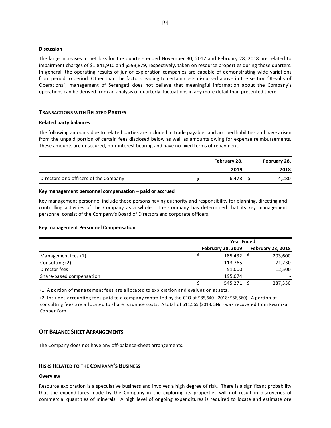### **Discussion**

The large increases in net loss for the quarters ended November 30, 2017 and February 28, 2018 are related to impairment charges of \$1,841,910 and \$593,879, respectively, taken on resource properties during those quarters. In general, the operating results of junior exploration companies are capable of demonstrating wide variations from period to period. Other than the factors leading to certain costs discussed above in the section "Results of Operations", management of Serengeti does not believe that meaningful information about the Company's operations can be derived from an analysis of quarterly fluctuations in any more detail than presented there.

# **TRANSACTIONS WITH RELATED PARTIES**

#### **Related party balances**

The following amounts due to related parties are included in trade payables and accrued liabilities and have arisen from the unpaid portion of certain fees disclosed below as well as amounts owing for expense reimbursements. These amounts are unsecured, non-interest bearing and have no fixed terms of repayment.

|                                       | February 28, |       |  | February 28, |
|---------------------------------------|--------------|-------|--|--------------|
|                                       |              | 2019  |  | 2018         |
| Directors and officers of the Company |              | 6.478 |  | 4,280        |

#### **Key management personnel compensation – paid or accrued**

Key management personnel include those persons having authority and responsibility for planning, directing and controlling activities of the Company as a whole. The Company has determined that its key management personnel consist of the Company's Board of Directors and corporate officers.

# **Key management Personnel Compensation**

|                          | <b>Year Ended</b>        |                          |  |  |
|--------------------------|--------------------------|--------------------------|--|--|
|                          | <b>February 28, 2019</b> | <b>February 28, 2018</b> |  |  |
| Management fees (1)      | 185,432                  | 203,600                  |  |  |
| Consulting (2)           | 113,765                  | 71,230                   |  |  |
| Director fees            | 51,000                   | 12,500                   |  |  |
| Share-based compensation | 195,074                  |                          |  |  |
|                          | 545,271                  | 287,330                  |  |  |

(1) A portion of management fees are allocated to exploration and evaluation assets.

(2) Includes accounting fees paid to a company controlled by the CFO of \$85,640 (2018: \$56,560). A portion of consulting fees are allocated to share issuance costs. A total of \$11,565 (2018: \$Nil) was recovered from Kwanika Copper Corp.

# **OFF BALANCE SHEET ARRANGEMENTS**

The Company does not have any off-balance-sheet arrangements.

# **RISKS RELATED TO THE COMPANY'S BUSINESS**

# **Overview**

Resource exploration is a speculative business and involves a high degree of risk. There is a significant probability that the expenditures made by the Company in the exploring its properties will not result in discoveries of commercial quantities of minerals. A high level of ongoing expenditures is required to locate and estimate ore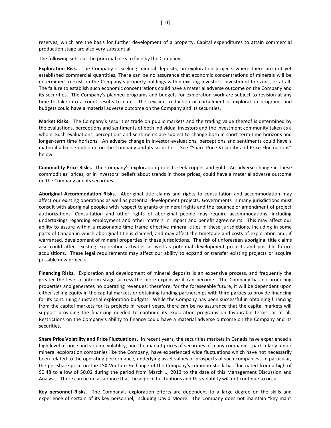reserves, which are the basis for further development of a property. Capital expenditures to attain commercial production stage are also very substantial.

The following sets out the principal risks to face by the Company.

**Exploration Risk.** The Company is seeking mineral deposits, on exploration projects where there are not yet established commercial quantities. There can be no assurance that economic concentrations of minerals will be determined to exist on the Company's property holdings within existing investors' investment horizons, or at all. The failure to establish such economic concentrations could have a material adverse outcome on the Company and its securities. The Company's planned programs and budgets for exploration work are subject to revision at any time to take into account results to date. The revision, reduction or curtailment of exploration programs and budgets could have a material adverse outcome on the Company and its securities.

**Market Risks.** The Company's securities trade on public markets and the trading value thereof is determined by the evaluations, perceptions and sentiments of both individual investors and the investment community taken as a whole. Such evaluations, perceptions and sentiments are subject to change both in short term time horizons and longer-term time horizons. An adverse change in investor evaluations, perceptions and sentiments could have a material adverse outcome on the Company and its securities. See "Share Price Volatility and Price Fluctuations" below.

**Commodity Price Risks.** The Company's exploration projects seek copper and gold. An adverse change in these commodities' prices, or in investors' beliefs about trends in those prices, could have a material adverse outcome on the Company and its securities.

**Aboriginal Accommodation Risks.** Aboriginal title claims and rights to consultation and accommodation may affect our existing operations as well as potential development projects. Governments in many jurisdictions must consult with aboriginal peoples with respect to grants of mineral rights and the issuance or amendment of project authorizations. Consultation and other rights of aboriginal people may require accommodations, including undertakings regarding employment and other matters in impact and benefit agreements. This may affect our ability to assure within a reasonable time frame effective mineral titles in these jurisdictions, including in some parts of Canada in which aboriginal title is claimed, and may affect the timetable and costs of exploration and, if warranted, development of mineral properties in these jurisdictions. The risk of unforeseen aboriginal title claims also could affect existing exploration activities as well as potential development projects and possible future acquisitions. These legal requirements may affect our ability to expand or transfer existing projects or acquire possible new projects.

**Financing Risks.** Exploration and development of mineral deposits is an expensive process, and frequently the greater the level of interim stage success the more expensive it can become. The Company has no producing properties and generates no operating revenues; therefore, for the foreseeable future, it will be dependent upon either selling equity in the capital markets or obtaining funding partnerships with third parties to provide financing for its continuing substantial exploration budgets. While the Company has been successful in obtaining financing from the capital markets for its projects in recent years, there can be no assurance that the capital markets will support providing the financing needed to continue its exploration programs on favourable terms, or at all. Restrictions on the Company's ability to finance could have a material adverse outcome on the Company and its securities.

**Share Price Volatility and Price Fluctuations.** In recent years, the securities markets in Canada have experienced a high level of price and volume volatility, and the market prices of securities of many companies, particularly junior mineral exploration companies like the Company, have experienced wide fluctuations which have not necessarily been related to the operating performance, underlying asset values or prospects of such companies. In particular, the per-share price on the TSX Venture Exchange of the Company's common stock has fluctuated from a high of \$0.48 to a low of \$0.02 during the period from March 1, 2013 to the date of this Management Discussion and Analysis. There can be no assurance that these price fluctuations and this volatility will not continue to occur.

**Key personnel Risks.** The Company's exploration efforts are dependent to a large degree on the skills and experience of certain of its key personnel, including David Moore. The Company does not maintain "key man"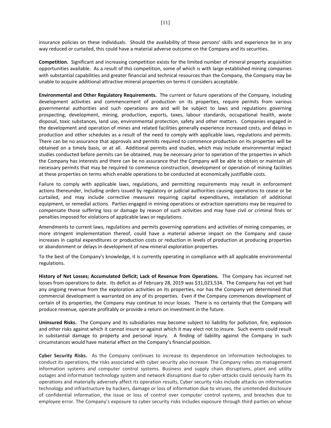insurance policies on these individuals. Should the availability of these persons' skills and experience be in any way reduced or curtailed, this could have a material adverse outcome on the Company and its securities.

**Competition.** Significant and increasing competition exists for the limited number of mineral property acquisition opportunities available. As a result of this competition, some of which is with large established mining companies with substantial capabilities and greater financial and technical resources than the Company, the Company may be unable to acquire additional attractive mineral properties on terms it considers acceptable.

**Environmental and Other Regulatory Requirements.** The current or future operations of the Company, including development activities and commencement of production on its properties, require permits from various governmental authorities and such operations are and will be subject to laws and regulations governing prospecting, development, mining, production, exports, taxes, labour standards, occupational health, waste disposal, toxic substances, land use, environmental protection, safety and other matters. Companies engaged in the development and operation of mines and related facilities generally experience increased costs, and delays in production and other schedules as a result of the need to comply with applicable laws, regulations and permits. There can be no assurance that approvals and permits required to commence production on its properties will be obtained on a timely basis, or at all. Additional permits and studies, which may include environmental impact studies conducted before permits can be obtained, may be necessary prior to operation of the properties in which the Company has interests and there can be no assurance that the Company will be able to obtain or maintain all necessary permits that may be required to commence construction, development or operation of mining facilities at these properties on terms which enable operations to be conducted at economically justifiable costs.

Failure to comply with applicable laws, regulations, and permitting requirements may result in enforcement actions thereunder, including orders issued by regulatory or judicial authorities causing operations to cease or be curtailed, and may include corrective measures requiring capital expenditures, installation of additional equipment, or remedial actions. Parties engaged in mining operations or extraction operations may be required to compensate those suffering loss or damage by reason of such activities and may have civil or criminal fines or penalties imposed for violations of applicable laws or regulations.

Amendments to current laws, regulations and permits governing operations and activities of mining companies, or more stringent implementation thereof, could have a material adverse impact on the Company and cause increases in capital expenditures or production costs or reduction in levels of production at producing properties or abandonment or delays in development of new mineral exploration properties.

To the best of the Company's knowledge, it is currently operating in compliance with all applicable environmental regulations.

**History of Net Losses; Accumulated Deficit; Lack of Revenue from Operations.** The Company has incurred net losses from operations to date. Its deficit as of February 28, 2019 was \$31,023,534. The Company has not yet had any ongoing revenue from the exploration activities on its properties, nor has the Company yet determined that commercial development is warranted on any of its properties. Even if the Company commences development of certain of its properties, the Company may continue to incur losses. There is no certainty that the Company will produce revenue, operate profitably or provide a return on investment in the future.

**Uninsured Risks.** The Company and its subsidiaries may become subject to liability for pollution, fire, explosion and other risks against which it cannot insure or against which it may elect not to insure. Such events could result in substantial damage to property and personal injury. A finding of liability against the Company in such circumstances would have material effect on the Company's financial position.

**Cyber Security Risks.** As the Company continues to increase its dependence on information technologies to conduct its operations, the risks associated with cyber security also increase. The Company relies on management information systems and computer control systems. Business and supply chain disruptions, plant and utility outages and information technology system and network disruptions due to cyber-attacks could seriously harm its operations and materially adversely affect its operation results, Cyber security risks include attacks on information technology and infrastructure by hackers, damage or loss of information due to viruses, the unintended disclosure of confidential information, the issue or loss of control over computer control systems, and breaches due to employee error. The Company's exposure to cyber security risks includes exposure through third parties on whose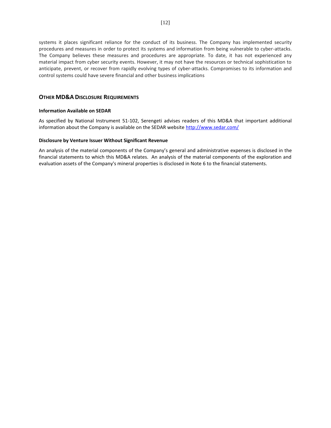systems it places significant reliance for the conduct of its business. The Company has implemented security procedures and measures in order to protect its systems and information from being vulnerable to cyber-attacks. The Company believes these measures and procedures are appropriate. To date, it has not experienced any material impact from cyber security events. However, it may not have the resources or technical sophistication to anticipate, prevent, or recover from rapidly evolving types of cyber-attacks. Compromises to its information and control systems could have severe financial and other business implications

# **OTHER MD&A DISCLOSURE REQUIREMENTS**

# **Information Available on SEDAR**

As specified by National Instrument 51-102, Serengeti advises readers of this MD&A that important additional information about the Company is available on the SEDAR website <http://www.sedar.com/>

#### **Disclosure by Venture Issuer Without Significant Revenue**

An analysis of the material components of the Company's general and administrative expenses is disclosed in the financial statements to which this MD&A relates. An analysis of the material components of the exploration and evaluation assets of the Company's mineral properties is disclosed in Note 6 to the financial statements.